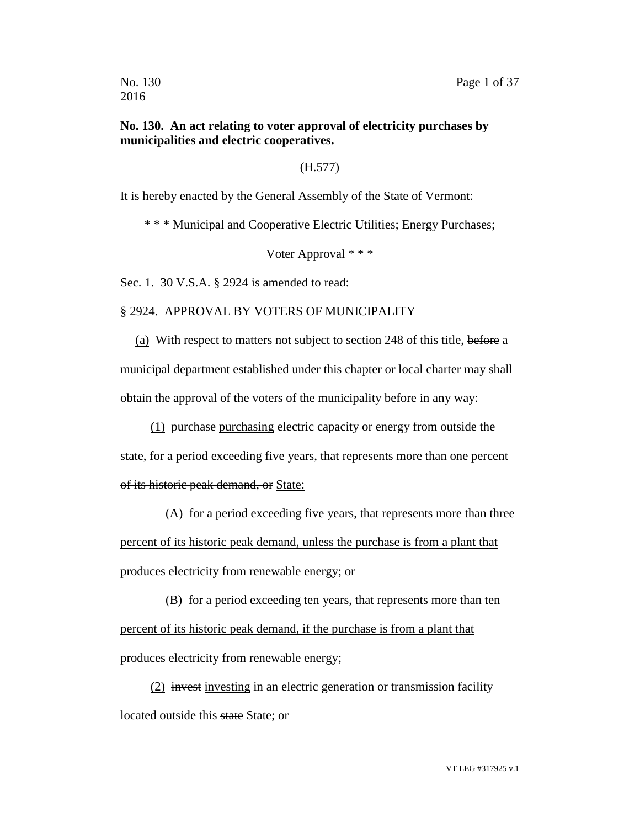# **No. 130. An act relating to voter approval of electricity purchases by municipalities and electric cooperatives.**

# (H.577)

It is hereby enacted by the General Assembly of the State of Vermont:

\* \* \* Municipal and Cooperative Electric Utilities; Energy Purchases;

Voter Approval \* \* \*

Sec. 1. 30 V.S.A. § 2924 is amended to read:

2016

§ 2924. APPROVAL BY VOTERS OF MUNICIPALITY

(a) With respect to matters not subject to section 248 of this title, before a municipal department established under this chapter or local charter may shall obtain the approval of the voters of the municipality before in any way:

(1) purchase purchasing electric capacity or energy from outside the

state, for a period exceeding five years, that represents more than one percent of its historic peak demand, or State:

(A) for a period exceeding five years, that represents more than three percent of its historic peak demand, unless the purchase is from a plant that produces electricity from renewable energy; or

(B) for a period exceeding ten years, that represents more than ten percent of its historic peak demand, if the purchase is from a plant that produces electricity from renewable energy;

(2) invest investing in an electric generation or transmission facility located outside this state State; or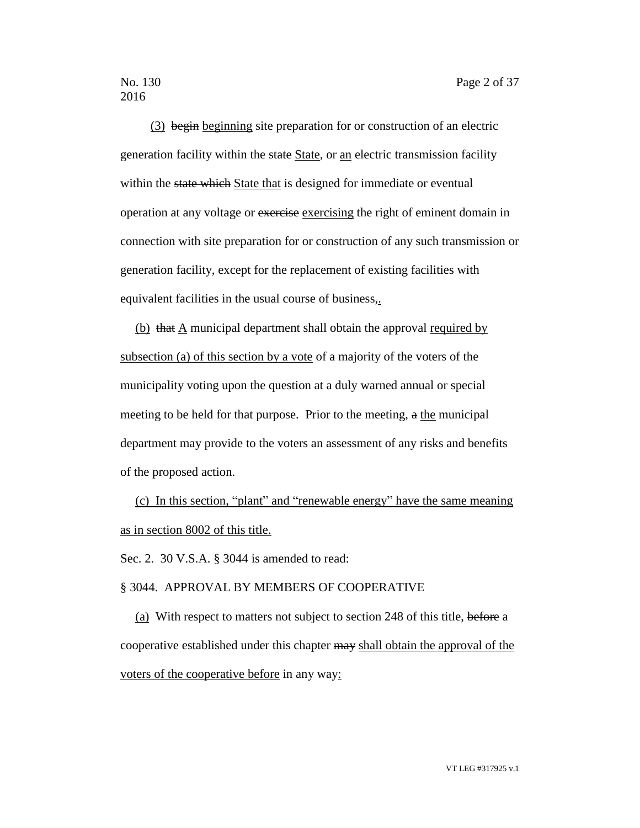(3) begin beginning site preparation for or construction of an electric generation facility within the state State, or an electric transmission facility within the state which State that is designed for immediate or eventual operation at any voltage or exercise exercising the right of eminent domain in connection with site preparation for or construction of any such transmission or generation facility, except for the replacement of existing facilities with equivalent facilities in the usual course of business,.

(b) that A municipal department shall obtain the approval required by subsection (a) of this section by a vote of a majority of the voters of the municipality voting upon the question at a duly warned annual or special meeting to be held for that purpose. Prior to the meeting, a the municipal department may provide to the voters an assessment of any risks and benefits of the proposed action.

(c) In this section, "plant" and "renewable energy" have the same meaning as in section 8002 of this title.

Sec. 2. 30 V.S.A. § 3044 is amended to read:

#### § 3044. APPROVAL BY MEMBERS OF COOPERATIVE

(a) With respect to matters not subject to section 248 of this title, before a cooperative established under this chapter may shall obtain the approval of the voters of the cooperative before in any way: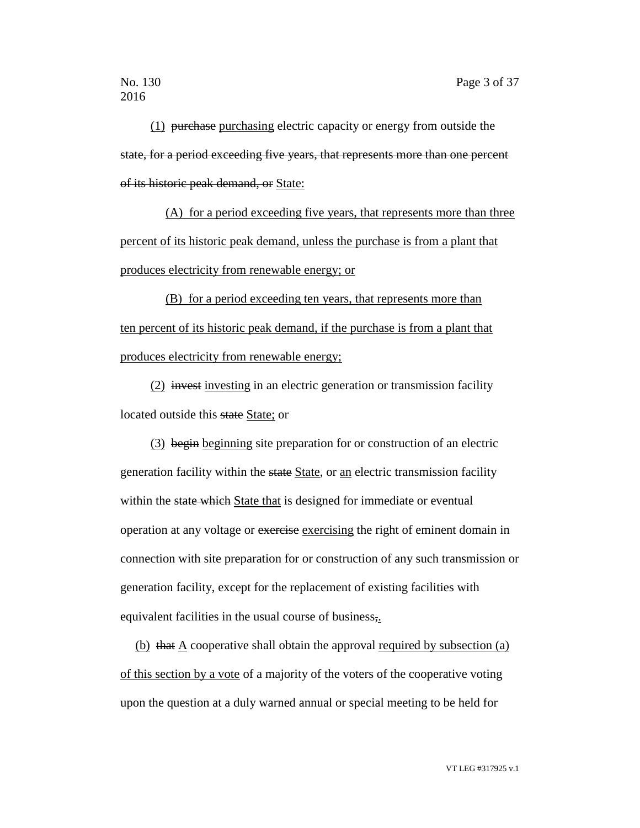(1) purchase purchasing electric capacity or energy from outside the state, for a period exceeding five years, that represents more than one percent of its historic peak demand, or State:

(A) for a period exceeding five years, that represents more than three percent of its historic peak demand, unless the purchase is from a plant that produces electricity from renewable energy; or

(B) for a period exceeding ten years, that represents more than ten percent of its historic peak demand, if the purchase is from a plant that produces electricity from renewable energy;

(2) invest investing in an electric generation or transmission facility located outside this state State; or

(3) begin beginning site preparation for or construction of an electric generation facility within the state State, or an electric transmission facility within the state which State that is designed for immediate or eventual operation at any voltage or exercise exercising the right of eminent domain in connection with site preparation for or construction of any such transmission or generation facility, except for the replacement of existing facilities with equivalent facilities in the usual course of business,.

(b) that A cooperative shall obtain the approval required by subsection (a) of this section by a vote of a majority of the voters of the cooperative voting upon the question at a duly warned annual or special meeting to be held for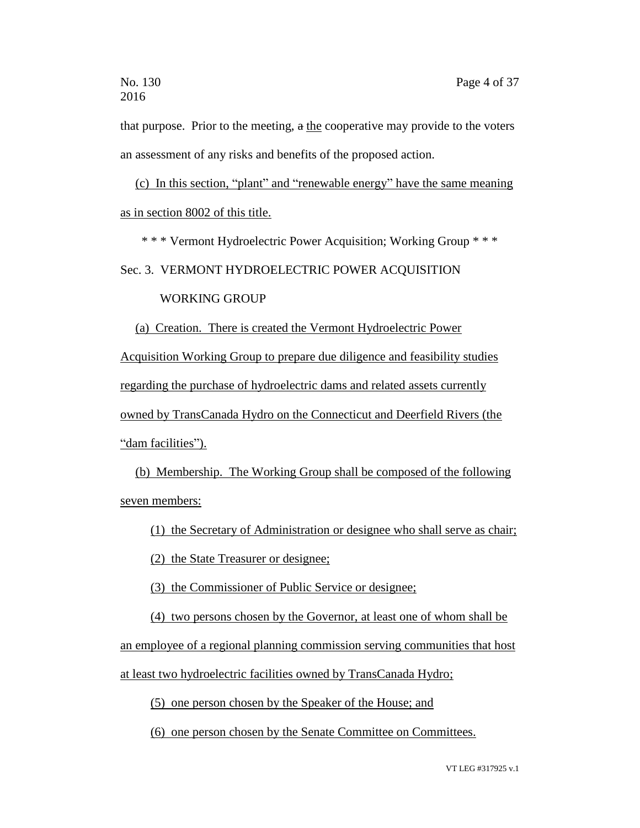that purpose. Prior to the meeting, a the cooperative may provide to the voters an assessment of any risks and benefits of the proposed action.

(c) In this section, "plant" and "renewable energy" have the same meaning as in section 8002 of this title.

\* \* \* Vermont Hydroelectric Power Acquisition; Working Group \* \* \*

Sec. 3. VERMONT HYDROELECTRIC POWER ACQUISITION

#### WORKING GROUP

(a) Creation. There is created the Vermont Hydroelectric Power Acquisition Working Group to prepare due diligence and feasibility studies regarding the purchase of hydroelectric dams and related assets currently owned by TransCanada Hydro on the Connecticut and Deerfield Rivers (the "dam facilities").

(b) Membership. The Working Group shall be composed of the following seven members:

(1) the Secretary of Administration or designee who shall serve as chair;

(2) the State Treasurer or designee;

(3) the Commissioner of Public Service or designee;

(4) two persons chosen by the Governor, at least one of whom shall be

an employee of a regional planning commission serving communities that host

at least two hydroelectric facilities owned by TransCanada Hydro;

(5) one person chosen by the Speaker of the House; and

(6) one person chosen by the Senate Committee on Committees.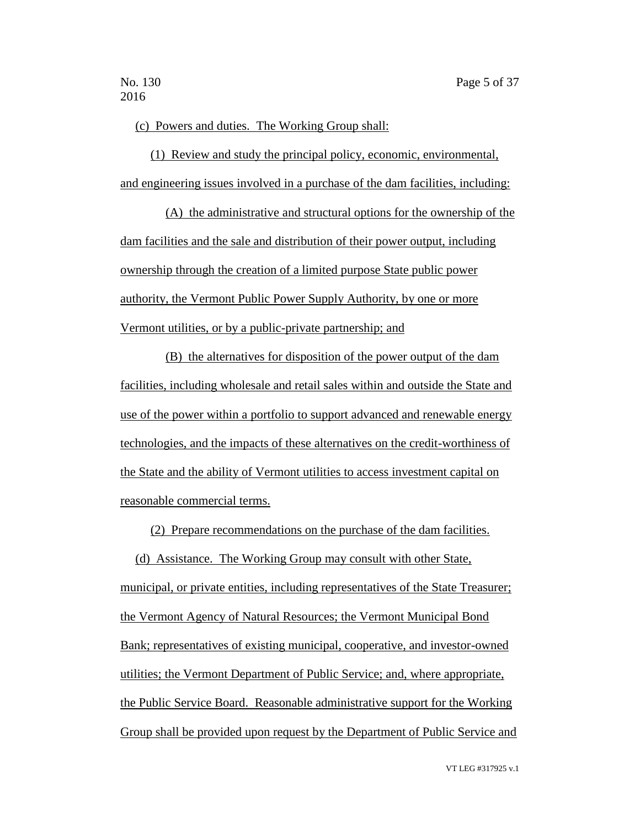(c) Powers and duties. The Working Group shall:

(1) Review and study the principal policy, economic, environmental, and engineering issues involved in a purchase of the dam facilities, including:

(A) the administrative and structural options for the ownership of the dam facilities and the sale and distribution of their power output, including ownership through the creation of a limited purpose State public power authority, the Vermont Public Power Supply Authority, by one or more Vermont utilities, or by a public-private partnership; and

(B) the alternatives for disposition of the power output of the dam facilities, including wholesale and retail sales within and outside the State and use of the power within a portfolio to support advanced and renewable energy technologies, and the impacts of these alternatives on the credit-worthiness of the State and the ability of Vermont utilities to access investment capital on reasonable commercial terms.

(2) Prepare recommendations on the purchase of the dam facilities.

(d) Assistance. The Working Group may consult with other State, municipal, or private entities, including representatives of the State Treasurer; the Vermont Agency of Natural Resources; the Vermont Municipal Bond Bank; representatives of existing municipal, cooperative, and investor-owned utilities; the Vermont Department of Public Service; and, where appropriate, the Public Service Board. Reasonable administrative support for the Working Group shall be provided upon request by the Department of Public Service and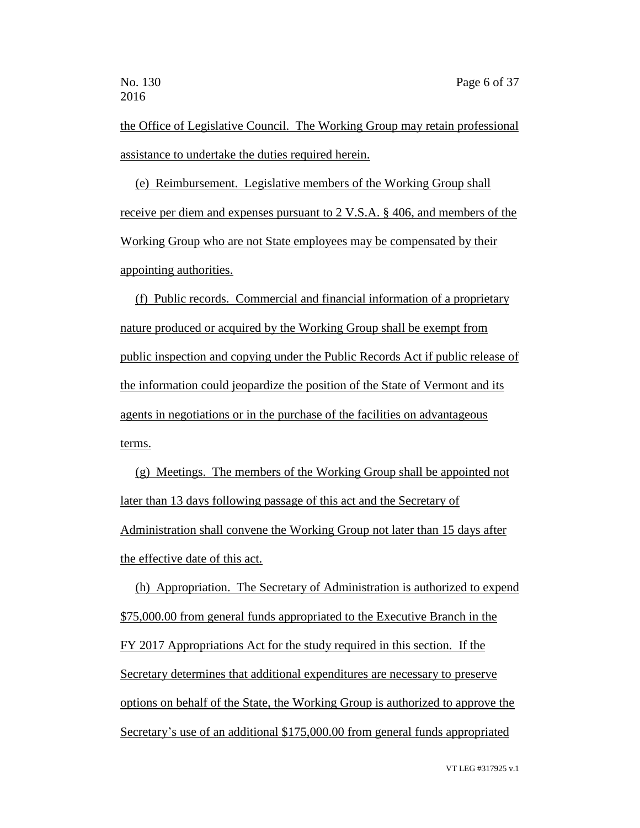the Office of Legislative Council. The Working Group may retain professional assistance to undertake the duties required herein.

(e) Reimbursement. Legislative members of the Working Group shall receive per diem and expenses pursuant to 2 V.S.A. § 406, and members of the Working Group who are not State employees may be compensated by their appointing authorities.

(f) Public records. Commercial and financial information of a proprietary nature produced or acquired by the Working Group shall be exempt from public inspection and copying under the Public Records Act if public release of the information could jeopardize the position of the State of Vermont and its agents in negotiations or in the purchase of the facilities on advantageous terms.

(g) Meetings. The members of the Working Group shall be appointed not later than 13 days following passage of this act and the Secretary of Administration shall convene the Working Group not later than 15 days after the effective date of this act.

(h) Appropriation. The Secretary of Administration is authorized to expend \$75,000.00 from general funds appropriated to the Executive Branch in the FY 2017 Appropriations Act for the study required in this section. If the Secretary determines that additional expenditures are necessary to preserve options on behalf of the State, the Working Group is authorized to approve the Secretary's use of an additional \$175,000.00 from general funds appropriated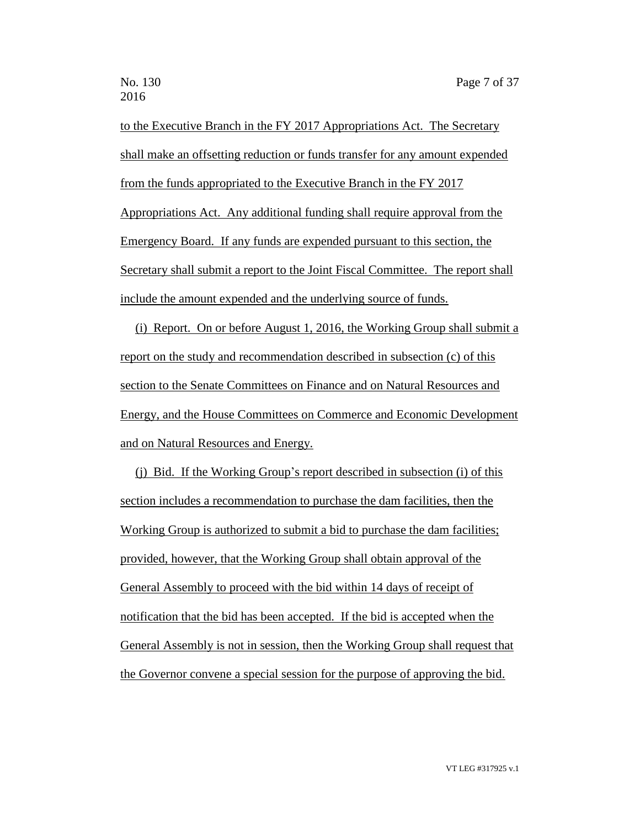to the Executive Branch in the FY 2017 Appropriations Act. The Secretary shall make an offsetting reduction or funds transfer for any amount expended from the funds appropriated to the Executive Branch in the FY 2017 Appropriations Act. Any additional funding shall require approval from the Emergency Board. If any funds are expended pursuant to this section, the Secretary shall submit a report to the Joint Fiscal Committee. The report shall include the amount expended and the underlying source of funds.

(i) Report. On or before August 1, 2016, the Working Group shall submit a report on the study and recommendation described in subsection (c) of this section to the Senate Committees on Finance and on Natural Resources and Energy, and the House Committees on Commerce and Economic Development and on Natural Resources and Energy.

(j) Bid. If the Working Group's report described in subsection (i) of this section includes a recommendation to purchase the dam facilities, then the Working Group is authorized to submit a bid to purchase the dam facilities; provided, however, that the Working Group shall obtain approval of the General Assembly to proceed with the bid within 14 days of receipt of notification that the bid has been accepted. If the bid is accepted when the General Assembly is not in session, then the Working Group shall request that the Governor convene a special session for the purpose of approving the bid.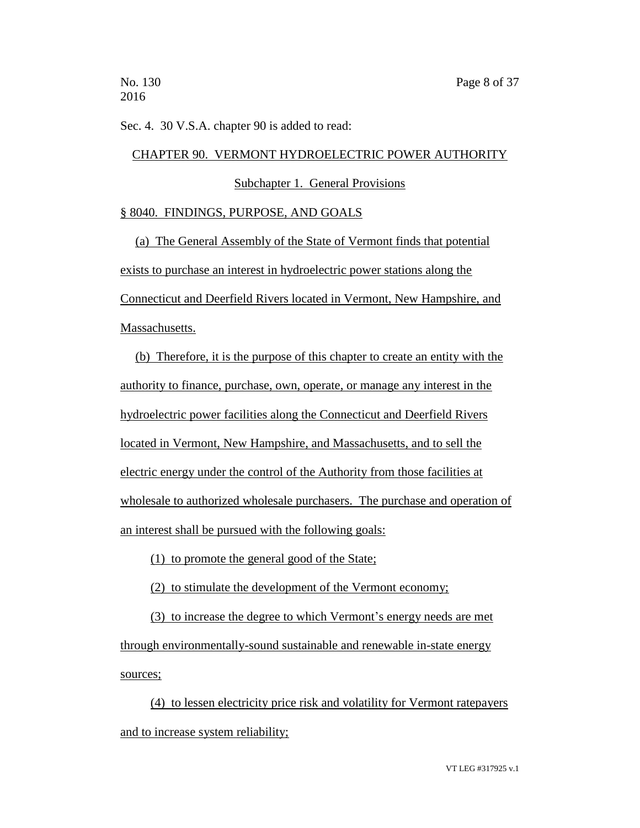Sec. 4. 30 V.S.A. chapter 90 is added to read:

#### CHAPTER 90. VERMONT HYDROELECTRIC POWER AUTHORITY

Subchapter 1. General Provisions

#### § 8040. FINDINGS, PURPOSE, AND GOALS

(a) The General Assembly of the State of Vermont finds that potential exists to purchase an interest in hydroelectric power stations along the Connecticut and Deerfield Rivers located in Vermont, New Hampshire, and Massachusetts.

(b) Therefore, it is the purpose of this chapter to create an entity with the authority to finance, purchase, own, operate, or manage any interest in the hydroelectric power facilities along the Connecticut and Deerfield Rivers located in Vermont, New Hampshire, and Massachusetts, and to sell the electric energy under the control of the Authority from those facilities at wholesale to authorized wholesale purchasers. The purchase and operation of an interest shall be pursued with the following goals:

(1) to promote the general good of the State;

(2) to stimulate the development of the Vermont economy;

(3) to increase the degree to which Vermont's energy needs are met through environmentally-sound sustainable and renewable in-state energy sources;

(4) to lessen electricity price risk and volatility for Vermont ratepayers and to increase system reliability;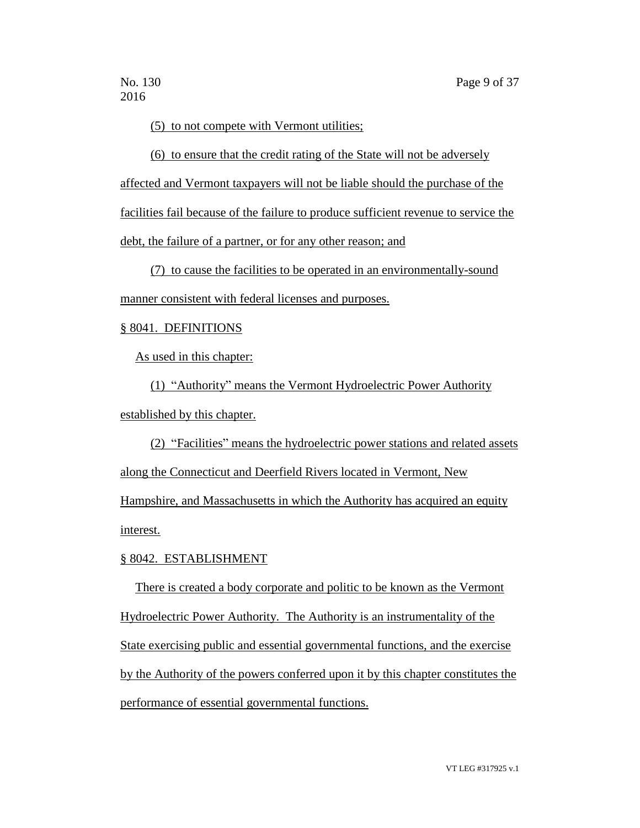(5) to not compete with Vermont utilities;

(6) to ensure that the credit rating of the State will not be adversely

affected and Vermont taxpayers will not be liable should the purchase of the facilities fail because of the failure to produce sufficient revenue to service the

debt, the failure of a partner, or for any other reason; and

(7) to cause the facilities to be operated in an environmentally-sound manner consistent with federal licenses and purposes.

# § 8041. DEFINITIONS

As used in this chapter:

(1) "Authority" means the Vermont Hydroelectric Power Authority established by this chapter.

(2) "Facilities" means the hydroelectric power stations and related assets

along the Connecticut and Deerfield Rivers located in Vermont, New

Hampshire, and Massachusetts in which the Authority has acquired an equity interest.

# § 8042. ESTABLISHMENT

There is created a body corporate and politic to be known as the Vermont Hydroelectric Power Authority. The Authority is an instrumentality of the State exercising public and essential governmental functions, and the exercise by the Authority of the powers conferred upon it by this chapter constitutes the performance of essential governmental functions.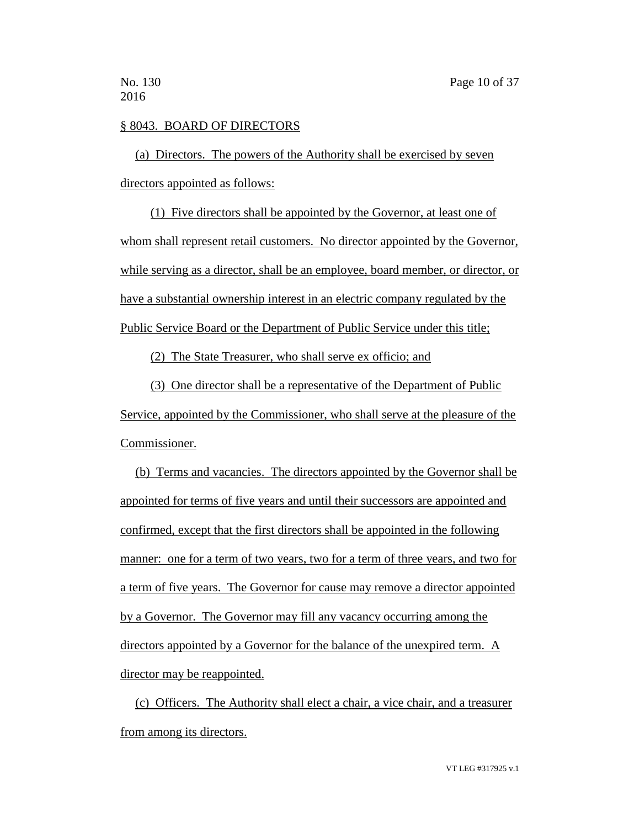# § 8043. BOARD OF DIRECTORS

(a) Directors. The powers of the Authority shall be exercised by seven directors appointed as follows:

(1) Five directors shall be appointed by the Governor, at least one of whom shall represent retail customers. No director appointed by the Governor, while serving as a director, shall be an employee, board member, or director, or have a substantial ownership interest in an electric company regulated by the Public Service Board or the Department of Public Service under this title;

(2) The State Treasurer, who shall serve ex officio; and

(3) One director shall be a representative of the Department of Public Service, appointed by the Commissioner, who shall serve at the pleasure of the Commissioner.

(b) Terms and vacancies. The directors appointed by the Governor shall be appointed for terms of five years and until their successors are appointed and confirmed, except that the first directors shall be appointed in the following manner: one for a term of two years, two for a term of three years, and two for a term of five years. The Governor for cause may remove a director appointed by a Governor. The Governor may fill any vacancy occurring among the directors appointed by a Governor for the balance of the unexpired term. A director may be reappointed.

(c) Officers. The Authority shall elect a chair, a vice chair, and a treasurer from among its directors.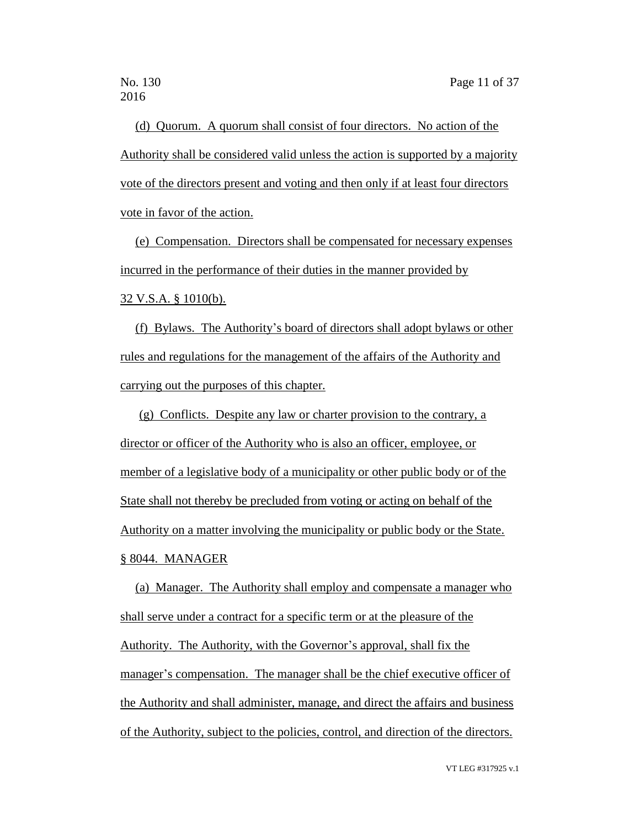(d) Quorum. A quorum shall consist of four directors. No action of the Authority shall be considered valid unless the action is supported by a majority vote of the directors present and voting and then only if at least four directors vote in favor of the action.

(e) Compensation. Directors shall be compensated for necessary expenses incurred in the performance of their duties in the manner provided by 32 V.S.A. § 1010(b).

(f) Bylaws. The Authority's board of directors shall adopt bylaws or other rules and regulations for the management of the affairs of the Authority and carrying out the purposes of this chapter.

(g) Conflicts. Despite any law or charter provision to the contrary, a director or officer of the Authority who is also an officer, employee, or member of a legislative body of a municipality or other public body or of the State shall not thereby be precluded from voting or acting on behalf of the Authority on a matter involving the municipality or public body or the State. § 8044. MANAGER

(a) Manager. The Authority shall employ and compensate a manager who shall serve under a contract for a specific term or at the pleasure of the Authority. The Authority, with the Governor's approval, shall fix the manager's compensation. The manager shall be the chief executive officer of the Authority and shall administer, manage, and direct the affairs and business of the Authority, subject to the policies, control, and direction of the directors.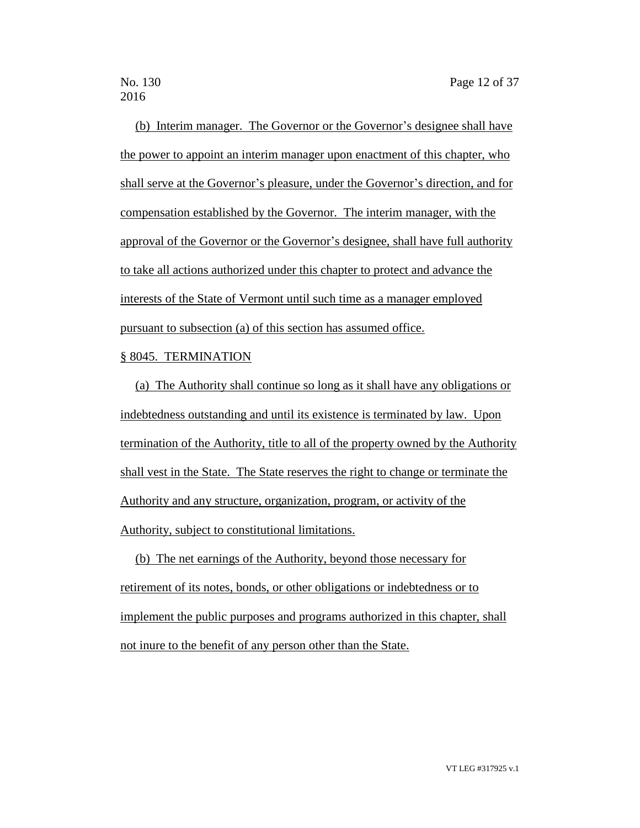(b) Interim manager. The Governor or the Governor's designee shall have the power to appoint an interim manager upon enactment of this chapter, who shall serve at the Governor's pleasure, under the Governor's direction, and for compensation established by the Governor. The interim manager, with the approval of the Governor or the Governor's designee, shall have full authority to take all actions authorized under this chapter to protect and advance the interests of the State of Vermont until such time as a manager employed pursuant to subsection (a) of this section has assumed office.

## § 8045. TERMINATION

(a) The Authority shall continue so long as it shall have any obligations or indebtedness outstanding and until its existence is terminated by law. Upon termination of the Authority, title to all of the property owned by the Authority shall vest in the State. The State reserves the right to change or terminate the Authority and any structure, organization, program, or activity of the Authority, subject to constitutional limitations.

(b) The net earnings of the Authority, beyond those necessary for retirement of its notes, bonds, or other obligations or indebtedness or to implement the public purposes and programs authorized in this chapter, shall not inure to the benefit of any person other than the State.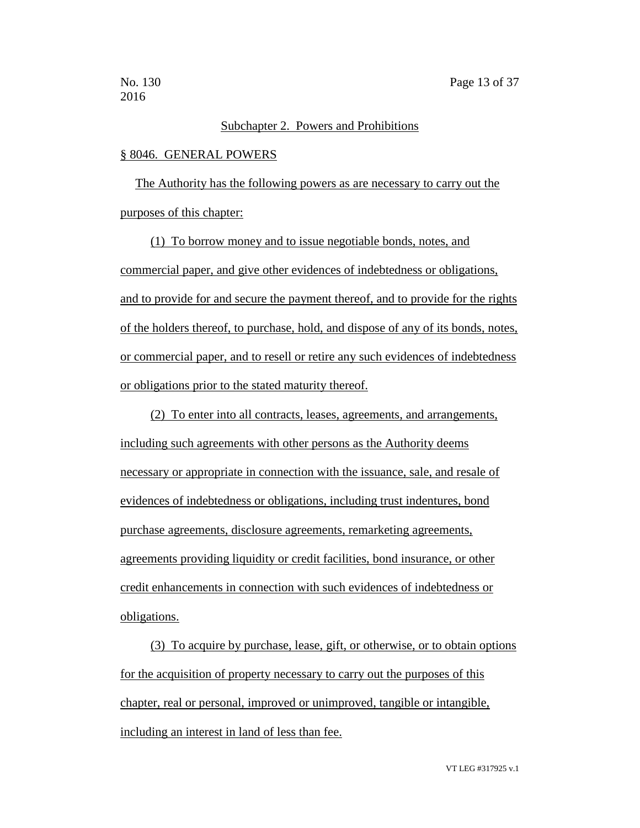## Subchapter 2. Powers and Prohibitions

#### § 8046. GENERAL POWERS

The Authority has the following powers as are necessary to carry out the purposes of this chapter:

(1) To borrow money and to issue negotiable bonds, notes, and commercial paper, and give other evidences of indebtedness or obligations, and to provide for and secure the payment thereof, and to provide for the rights of the holders thereof, to purchase, hold, and dispose of any of its bonds, notes, or commercial paper, and to resell or retire any such evidences of indebtedness or obligations prior to the stated maturity thereof.

(2) To enter into all contracts, leases, agreements, and arrangements, including such agreements with other persons as the Authority deems necessary or appropriate in connection with the issuance, sale, and resale of evidences of indebtedness or obligations, including trust indentures, bond purchase agreements, disclosure agreements, remarketing agreements, agreements providing liquidity or credit facilities, bond insurance, or other credit enhancements in connection with such evidences of indebtedness or obligations.

(3) To acquire by purchase, lease, gift, or otherwise, or to obtain options for the acquisition of property necessary to carry out the purposes of this chapter, real or personal, improved or unimproved, tangible or intangible, including an interest in land of less than fee.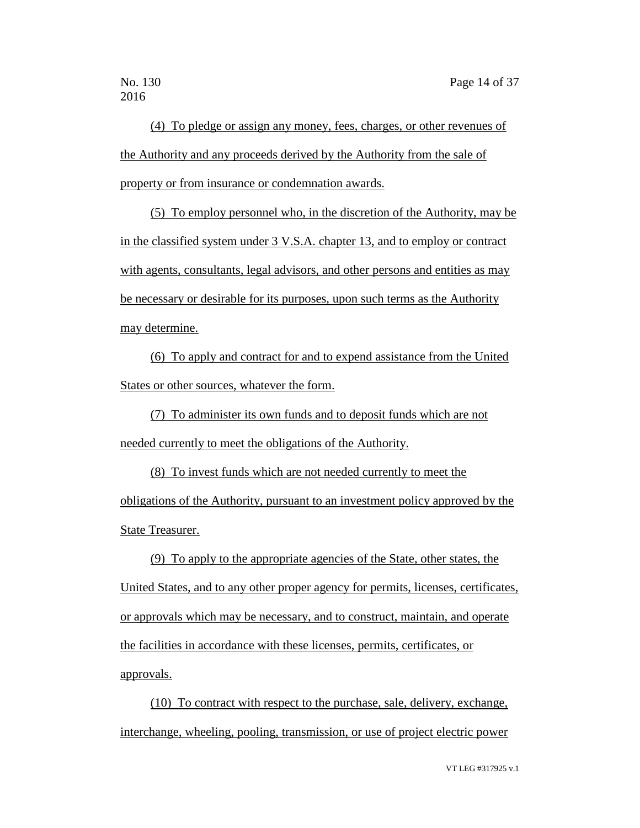(4) To pledge or assign any money, fees, charges, or other revenues of the Authority and any proceeds derived by the Authority from the sale of property or from insurance or condemnation awards.

(5) To employ personnel who, in the discretion of the Authority, may be in the classified system under 3 V.S.A. chapter 13, and to employ or contract with agents, consultants, legal advisors, and other persons and entities as may be necessary or desirable for its purposes, upon such terms as the Authority may determine.

(6) To apply and contract for and to expend assistance from the United States or other sources, whatever the form.

(7) To administer its own funds and to deposit funds which are not needed currently to meet the obligations of the Authority.

(8) To invest funds which are not needed currently to meet the obligations of the Authority, pursuant to an investment policy approved by the State Treasurer.

(9) To apply to the appropriate agencies of the State, other states, the United States, and to any other proper agency for permits, licenses, certificates, or approvals which may be necessary, and to construct, maintain, and operate the facilities in accordance with these licenses, permits, certificates, or approvals.

(10) To contract with respect to the purchase, sale, delivery, exchange, interchange, wheeling, pooling, transmission, or use of project electric power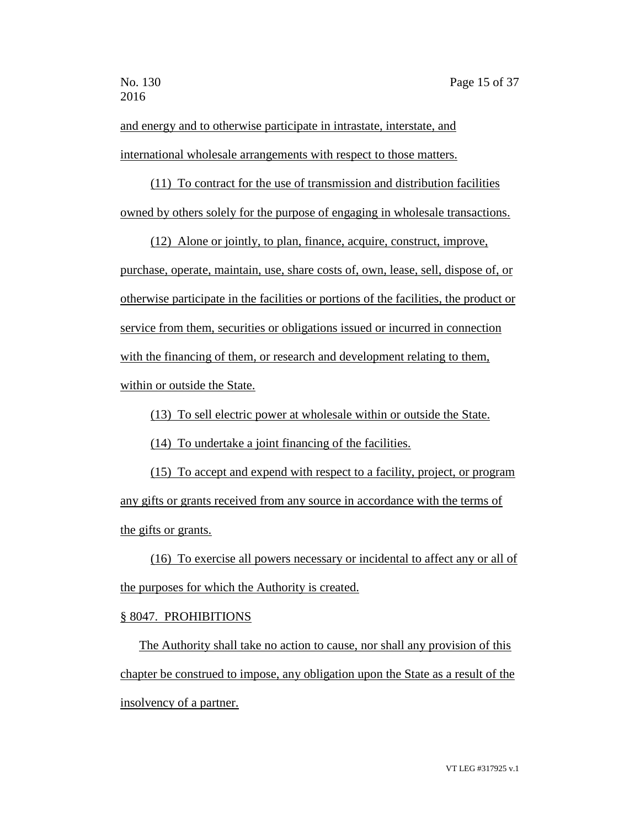and energy and to otherwise participate in intrastate, interstate, and international wholesale arrangements with respect to those matters.

(11) To contract for the use of transmission and distribution facilities owned by others solely for the purpose of engaging in wholesale transactions.

(12) Alone or jointly, to plan, finance, acquire, construct, improve, purchase, operate, maintain, use, share costs of, own, lease, sell, dispose of, or otherwise participate in the facilities or portions of the facilities, the product or service from them, securities or obligations issued or incurred in connection with the financing of them, or research and development relating to them, within or outside the State.

(13) To sell electric power at wholesale within or outside the State.

(14) To undertake a joint financing of the facilities.

(15) To accept and expend with respect to a facility, project, or program any gifts or grants received from any source in accordance with the terms of the gifts or grants.

(16) To exercise all powers necessary or incidental to affect any or all of the purposes for which the Authority is created.

### § 8047. PROHIBITIONS

The Authority shall take no action to cause, nor shall any provision of this chapter be construed to impose, any obligation upon the State as a result of the insolvency of a partner.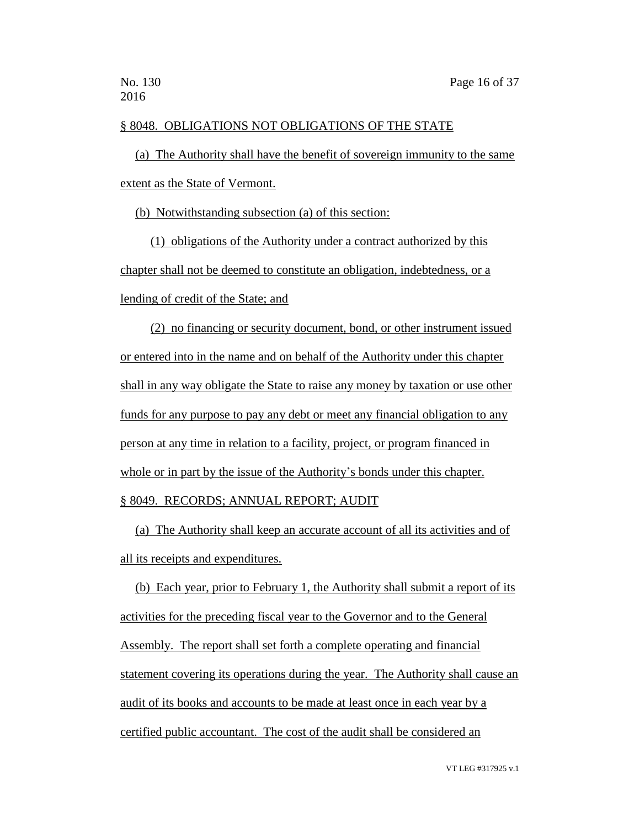# § 8048. OBLIGATIONS NOT OBLIGATIONS OF THE STATE

(a) The Authority shall have the benefit of sovereign immunity to the same extent as the State of Vermont.

(b) Notwithstanding subsection (a) of this section:

(1) obligations of the Authority under a contract authorized by this chapter shall not be deemed to constitute an obligation, indebtedness, or a lending of credit of the State; and

(2) no financing or security document, bond, or other instrument issued or entered into in the name and on behalf of the Authority under this chapter shall in any way obligate the State to raise any money by taxation or use other funds for any purpose to pay any debt or meet any financial obligation to any person at any time in relation to a facility, project, or program financed in whole or in part by the issue of the Authority's bonds under this chapter. § 8049. RECORDS; ANNUAL REPORT; AUDIT

(a) The Authority shall keep an accurate account of all its activities and of all its receipts and expenditures.

(b) Each year, prior to February 1, the Authority shall submit a report of its activities for the preceding fiscal year to the Governor and to the General Assembly. The report shall set forth a complete operating and financial statement covering its operations during the year. The Authority shall cause an audit of its books and accounts to be made at least once in each year by a certified public accountant. The cost of the audit shall be considered an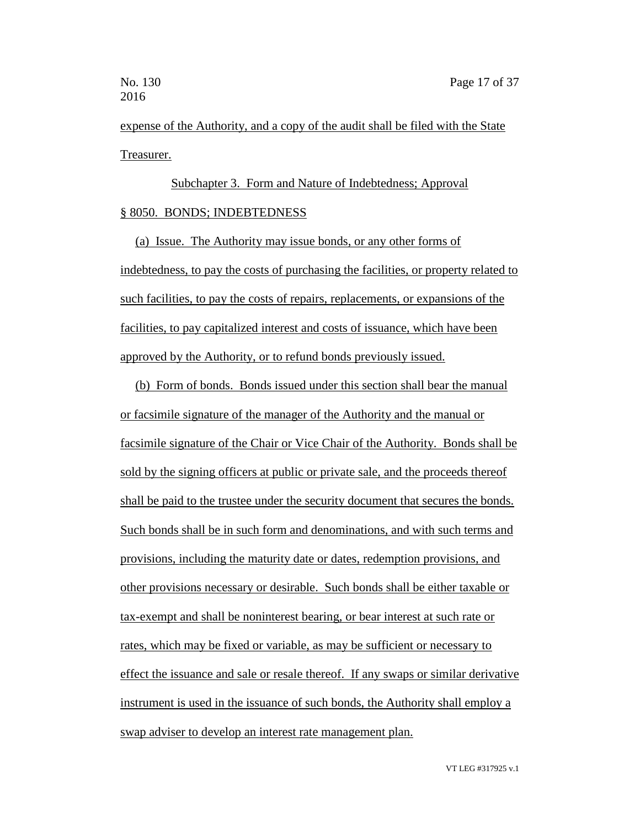expense of the Authority, and a copy of the audit shall be filed with the State Treasurer.

Subchapter 3. Form and Nature of Indebtedness; Approval § 8050. BONDS; INDEBTEDNESS

(a) Issue. The Authority may issue bonds, or any other forms of indebtedness, to pay the costs of purchasing the facilities, or property related to such facilities, to pay the costs of repairs, replacements, or expansions of the facilities, to pay capitalized interest and costs of issuance, which have been approved by the Authority, or to refund bonds previously issued.

(b) Form of bonds. Bonds issued under this section shall bear the manual or facsimile signature of the manager of the Authority and the manual or facsimile signature of the Chair or Vice Chair of the Authority. Bonds shall be sold by the signing officers at public or private sale, and the proceeds thereof shall be paid to the trustee under the security document that secures the bonds. Such bonds shall be in such form and denominations, and with such terms and provisions, including the maturity date or dates, redemption provisions, and other provisions necessary or desirable. Such bonds shall be either taxable or tax-exempt and shall be noninterest bearing, or bear interest at such rate or rates, which may be fixed or variable, as may be sufficient or necessary to effect the issuance and sale or resale thereof. If any swaps or similar derivative instrument is used in the issuance of such bonds, the Authority shall employ a swap adviser to develop an interest rate management plan.

VT LEG #317925 v.1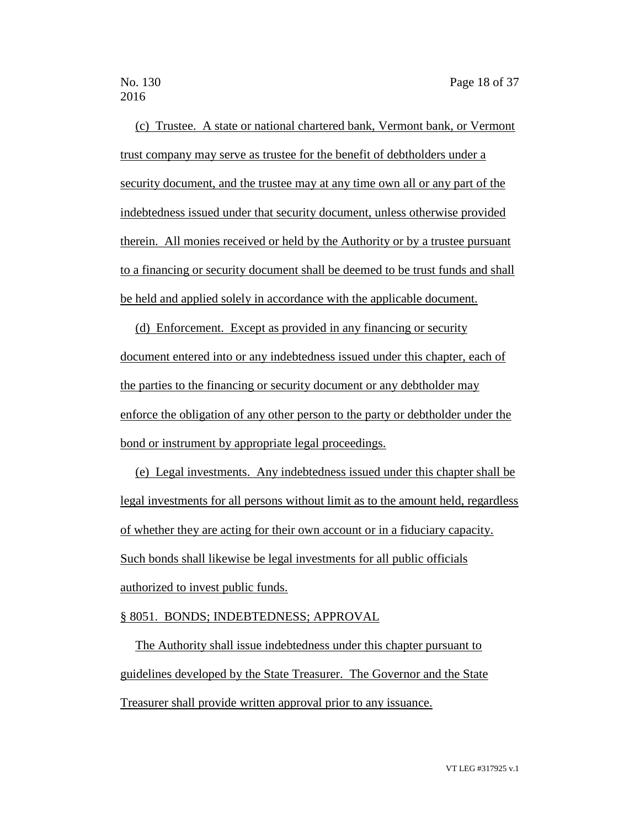(c) Trustee. A state or national chartered bank, Vermont bank, or Vermont trust company may serve as trustee for the benefit of debtholders under a security document, and the trustee may at any time own all or any part of the indebtedness issued under that security document, unless otherwise provided therein. All monies received or held by the Authority or by a trustee pursuant to a financing or security document shall be deemed to be trust funds and shall be held and applied solely in accordance with the applicable document.

(d) Enforcement. Except as provided in any financing or security document entered into or any indebtedness issued under this chapter, each of the parties to the financing or security document or any debtholder may enforce the obligation of any other person to the party or debtholder under the bond or instrument by appropriate legal proceedings.

(e) Legal investments. Any indebtedness issued under this chapter shall be legal investments for all persons without limit as to the amount held, regardless of whether they are acting for their own account or in a fiduciary capacity. Such bonds shall likewise be legal investments for all public officials authorized to invest public funds.

### § 8051. BONDS; INDEBTEDNESS; APPROVAL

The Authority shall issue indebtedness under this chapter pursuant to guidelines developed by the State Treasurer. The Governor and the State Treasurer shall provide written approval prior to any issuance.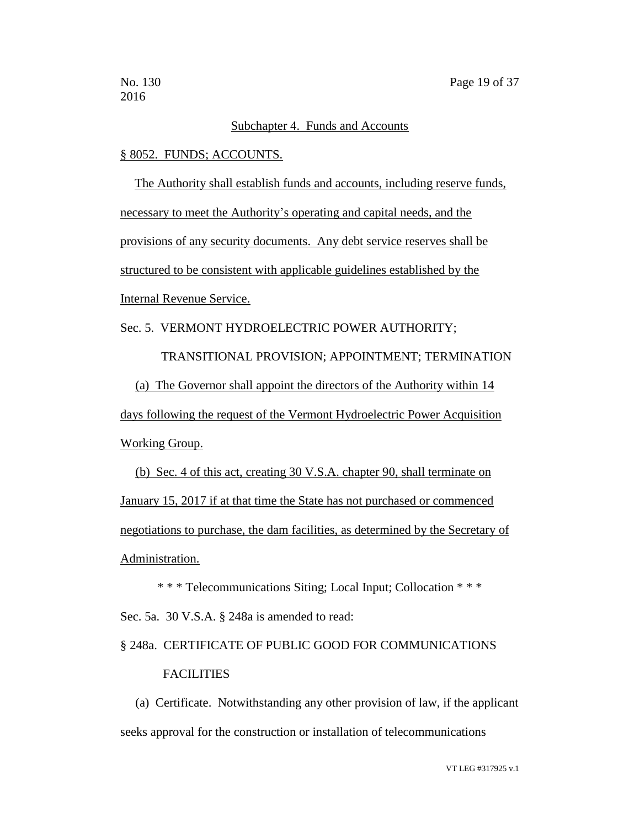## Subchapter 4. Funds and Accounts

#### § 8052. FUNDS; ACCOUNTS.

The Authority shall establish funds and accounts, including reserve funds, necessary to meet the Authority's operating and capital needs, and the provisions of any security documents. Any debt service reserves shall be structured to be consistent with applicable guidelines established by the Internal Revenue Service.

# Sec. 5. VERMONT HYDROELECTRIC POWER AUTHORITY;

 TRANSITIONAL PROVISION; APPOINTMENT; TERMINATION (a) The Governor shall appoint the directors of the Authority within 14 days following the request of the Vermont Hydroelectric Power Acquisition Working Group.

(b) Sec. 4 of this act, creating 30 V.S.A. chapter 90, shall terminate on January 15, 2017 if at that time the State has not purchased or commenced negotiations to purchase, the dam facilities, as determined by the Secretary of Administration.

\* \* \* Telecommunications Siting; Local Input; Collocation \* \* \* Sec. 5a. 30 V.S.A. § 248a is amended to read:

# § 248a. CERTIFICATE OF PUBLIC GOOD FOR COMMUNICATIONS FACILITIES

(a) Certificate. Notwithstanding any other provision of law, if the applicant seeks approval for the construction or installation of telecommunications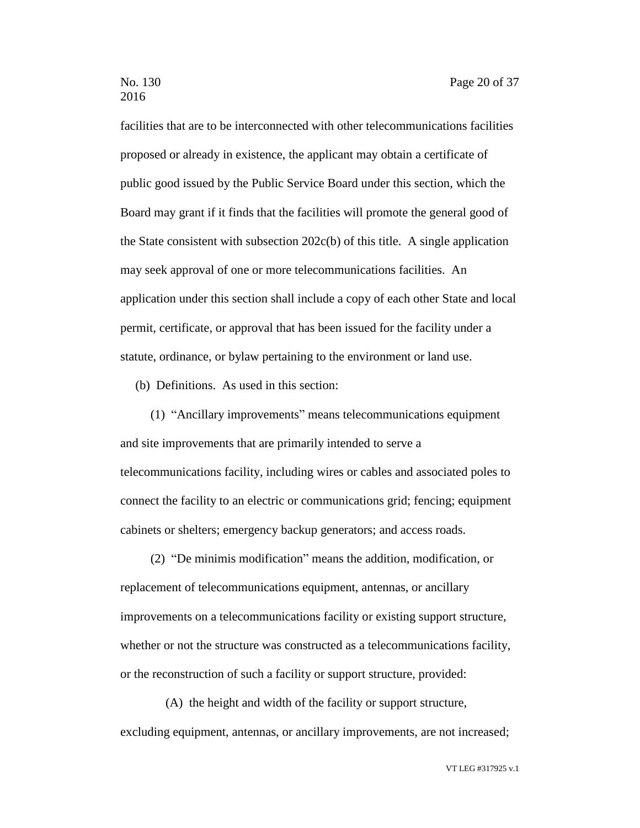facilities that are to be interconnected with other telecommunications facilities proposed or already in existence, the applicant may obtain a certificate of public good issued by the Public Service Board under this section, which the Board may grant if it finds that the facilities will promote the general good of the State consistent with subsection  $202c(b)$  of this title. A single application may seek approval of one or more telecommunications facilities. An application under this section shall include a copy of each other State and local permit, certificate, or approval that has been issued for the facility under a statute, ordinance, or bylaw pertaining to the environment or land use.

(b) Definitions. As used in this section:

(1) "Ancillary improvements" means telecommunications equipment and site improvements that are primarily intended to serve a telecommunications facility, including wires or cables and associated poles to connect the facility to an electric or communications grid; fencing; equipment cabinets or shelters; emergency backup generators; and access roads.

(2) "De minimis modification" means the addition, modification, or replacement of telecommunications equipment, antennas, or ancillary improvements on a telecommunications facility or existing support structure, whether or not the structure was constructed as a telecommunications facility, or the reconstruction of such a facility or support structure, provided:

(A) the height and width of the facility or support structure, excluding equipment, antennas, or ancillary improvements, are not increased;

VT LEG #317925 v.1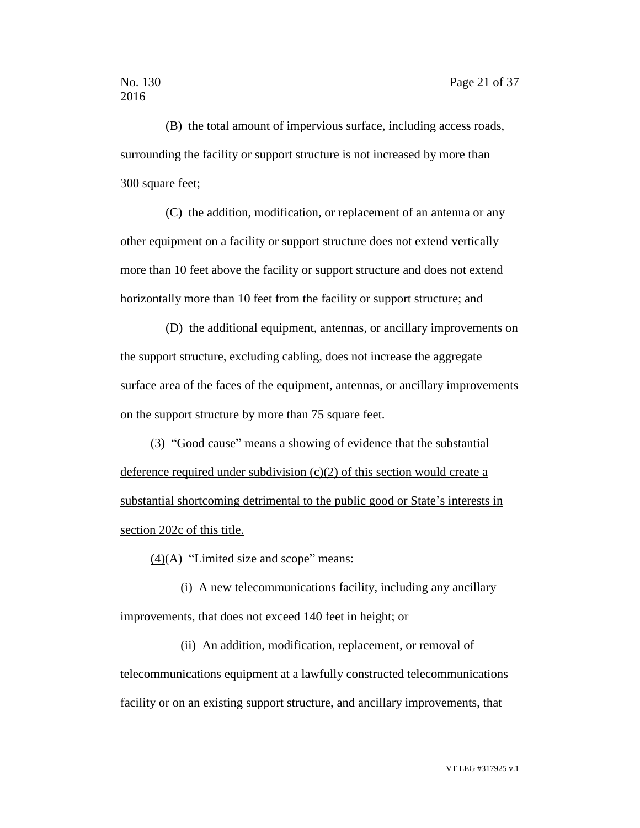(B) the total amount of impervious surface, including access roads, surrounding the facility or support structure is not increased by more than 300 square feet;

(C) the addition, modification, or replacement of an antenna or any other equipment on a facility or support structure does not extend vertically more than 10 feet above the facility or support structure and does not extend horizontally more than 10 feet from the facility or support structure; and

(D) the additional equipment, antennas, or ancillary improvements on the support structure, excluding cabling, does not increase the aggregate surface area of the faces of the equipment, antennas, or ancillary improvements on the support structure by more than 75 square feet.

(3) "Good cause" means a showing of evidence that the substantial deference required under subdivision (c)(2) of this section would create a substantial shortcoming detrimental to the public good or State's interests in section 202c of this title.

 $(4)(A)$  "Limited size and scope" means:

(i) A new telecommunications facility, including any ancillary improvements, that does not exceed 140 feet in height; or

(ii) An addition, modification, replacement, or removal of telecommunications equipment at a lawfully constructed telecommunications facility or on an existing support structure, and ancillary improvements, that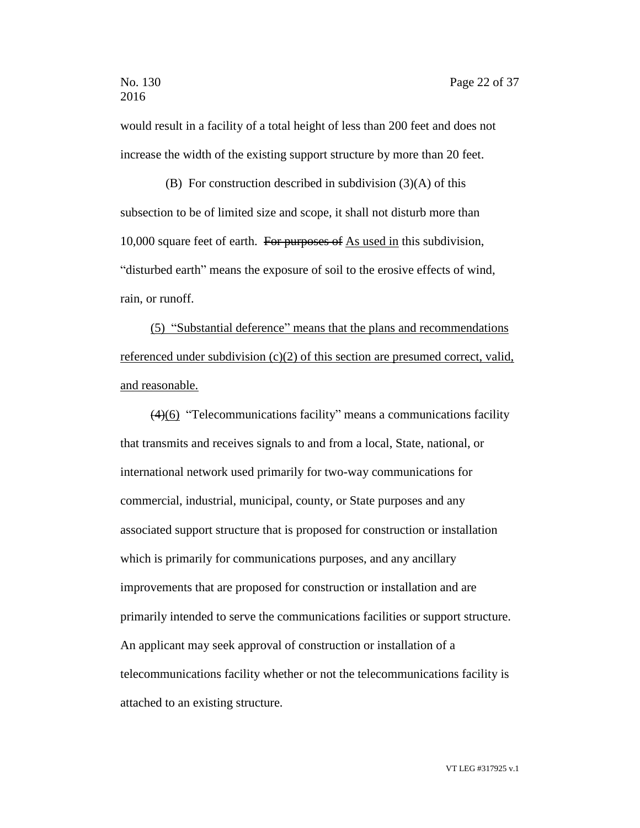would result in a facility of a total height of less than 200 feet and does not increase the width of the existing support structure by more than 20 feet.

(B) For construction described in subdivision  $(3)(A)$  of this subsection to be of limited size and scope, it shall not disturb more than 10,000 square feet of earth. For purposes of As used in this subdivision, "disturbed earth" means the exposure of soil to the erosive effects of wind, rain, or runoff.

(5) "Substantial deference" means that the plans and recommendations referenced under subdivision (c)(2) of this section are presumed correct, valid, and reasonable.

(4)(6) "Telecommunications facility" means a communications facility that transmits and receives signals to and from a local, State, national, or international network used primarily for two-way communications for commercial, industrial, municipal, county, or State purposes and any associated support structure that is proposed for construction or installation which is primarily for communications purposes, and any ancillary improvements that are proposed for construction or installation and are primarily intended to serve the communications facilities or support structure. An applicant may seek approval of construction or installation of a telecommunications facility whether or not the telecommunications facility is attached to an existing structure.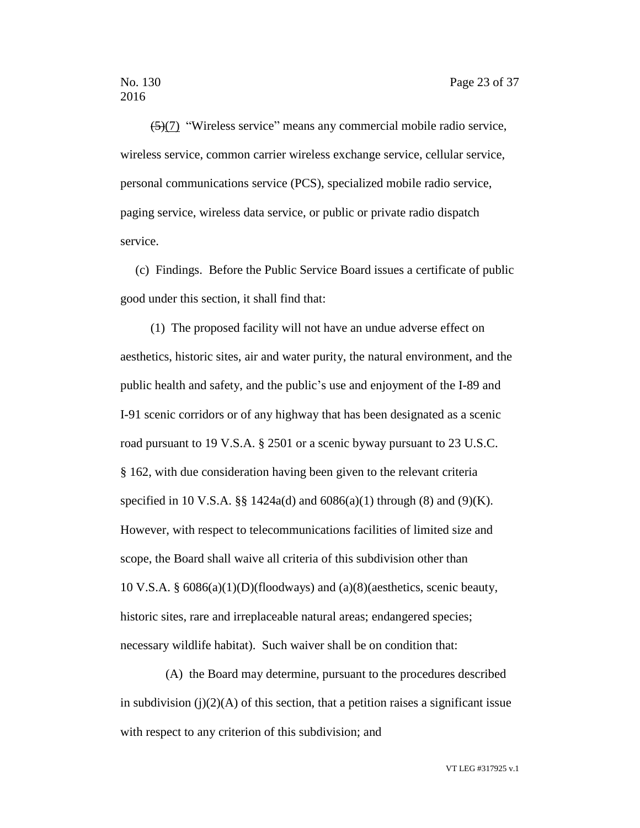$\left(\frac{5}{7}\right)$  "Wireless service" means any commercial mobile radio service, wireless service, common carrier wireless exchange service, cellular service, personal communications service (PCS), specialized mobile radio service, paging service, wireless data service, or public or private radio dispatch service.

(c) Findings. Before the Public Service Board issues a certificate of public good under this section, it shall find that:

(1) The proposed facility will not have an undue adverse effect on aesthetics, historic sites, air and water purity, the natural environment, and the public health and safety, and the public's use and enjoyment of the I-89 and I-91 scenic corridors or of any highway that has been designated as a scenic road pursuant to 19 V.S.A. § 2501 or a scenic byway pursuant to 23 U.S.C. § 162, with due consideration having been given to the relevant criteria specified in 10 V.S.A.  $\S\S 1424a(d)$  and  $6086(a)(1)$  through (8) and (9)(K). However, with respect to telecommunications facilities of limited size and scope, the Board shall waive all criteria of this subdivision other than 10 V.S.A. § 6086(a)(1)(D)(floodways) and (a)(8)(aesthetics, scenic beauty, historic sites, rare and irreplaceable natural areas; endangered species; necessary wildlife habitat). Such waiver shall be on condition that:

(A) the Board may determine, pursuant to the procedures described in subdivision (j)(2)(A) of this section, that a petition raises a significant issue with respect to any criterion of this subdivision; and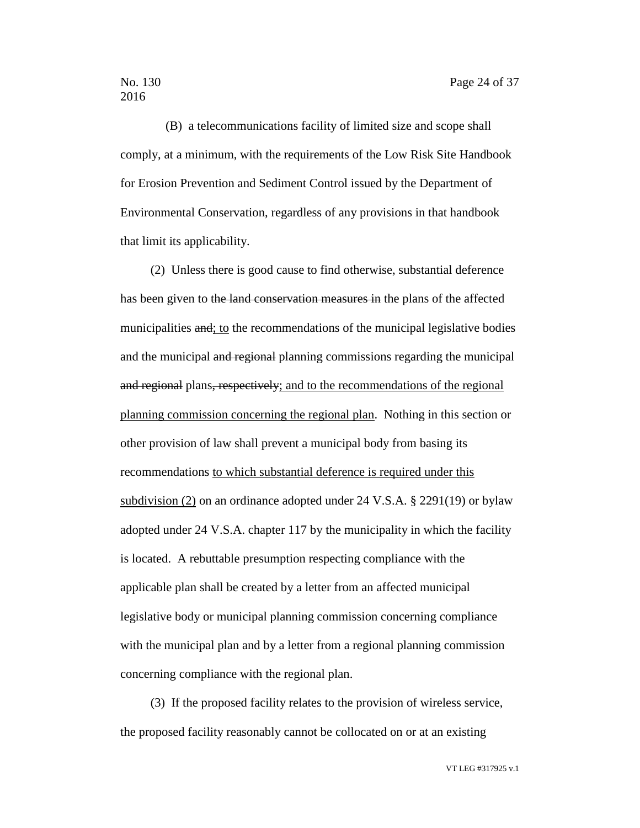(B) a telecommunications facility of limited size and scope shall comply, at a minimum, with the requirements of the Low Risk Site Handbook for Erosion Prevention and Sediment Control issued by the Department of Environmental Conservation, regardless of any provisions in that handbook that limit its applicability.

(2) Unless there is good cause to find otherwise, substantial deference has been given to the land conservation measures in the plans of the affected municipalities and; to the recommendations of the municipal legislative bodies and the municipal and regional planning commissions regarding the municipal and regional plans, respectively; and to the recommendations of the regional planning commission concerning the regional plan. Nothing in this section or other provision of law shall prevent a municipal body from basing its recommendations to which substantial deference is required under this subdivision (2) on an ordinance adopted under 24 V.S.A. § 2291(19) or bylaw adopted under 24 V.S.A. chapter 117 by the municipality in which the facility is located. A rebuttable presumption respecting compliance with the applicable plan shall be created by a letter from an affected municipal legislative body or municipal planning commission concerning compliance with the municipal plan and by a letter from a regional planning commission concerning compliance with the regional plan.

(3) If the proposed facility relates to the provision of wireless service, the proposed facility reasonably cannot be collocated on or at an existing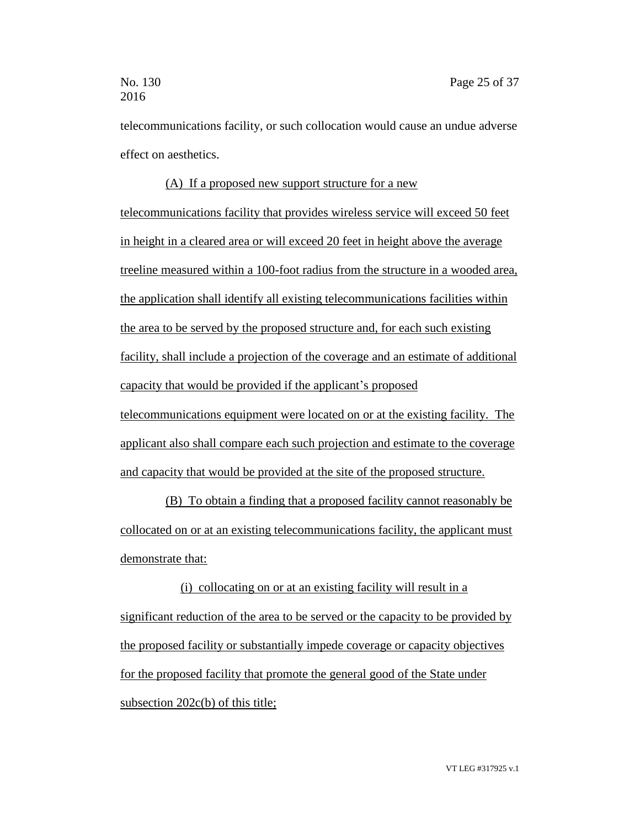telecommunications facility, or such collocation would cause an undue adverse effect on aesthetics.

(A) If a proposed new support structure for a new telecommunications facility that provides wireless service will exceed 50 feet in height in a cleared area or will exceed 20 feet in height above the average treeline measured within a 100-foot radius from the structure in a wooded area, the application shall identify all existing telecommunications facilities within the area to be served by the proposed structure and, for each such existing facility, shall include a projection of the coverage and an estimate of additional capacity that would be provided if the applicant's proposed telecommunications equipment were located on or at the existing facility. The applicant also shall compare each such projection and estimate to the coverage and capacity that would be provided at the site of the proposed structure.

(B) To obtain a finding that a proposed facility cannot reasonably be collocated on or at an existing telecommunications facility, the applicant must demonstrate that:

(i) collocating on or at an existing facility will result in a significant reduction of the area to be served or the capacity to be provided by the proposed facility or substantially impede coverage or capacity objectives for the proposed facility that promote the general good of the State under subsection 202c(b) of this title;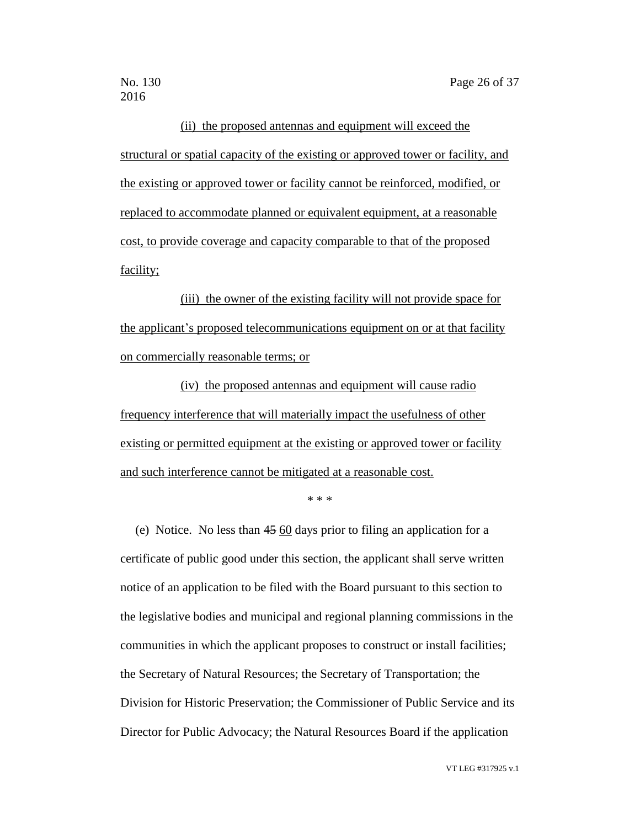(ii) the proposed antennas and equipment will exceed the structural or spatial capacity of the existing or approved tower or facility, and the existing or approved tower or facility cannot be reinforced, modified, or replaced to accommodate planned or equivalent equipment, at a reasonable cost, to provide coverage and capacity comparable to that of the proposed facility;

(iii) the owner of the existing facility will not provide space for the applicant's proposed telecommunications equipment on or at that facility on commercially reasonable terms; or

(iv) the proposed antennas and equipment will cause radio frequency interference that will materially impact the usefulness of other existing or permitted equipment at the existing or approved tower or facility and such interference cannot be mitigated at a reasonable cost.

\* \* \*

(e) Notice. No less than 45 60 days prior to filing an application for a certificate of public good under this section, the applicant shall serve written notice of an application to be filed with the Board pursuant to this section to the legislative bodies and municipal and regional planning commissions in the communities in which the applicant proposes to construct or install facilities; the Secretary of Natural Resources; the Secretary of Transportation; the Division for Historic Preservation; the Commissioner of Public Service and its Director for Public Advocacy; the Natural Resources Board if the application

VT LEG #317925 v.1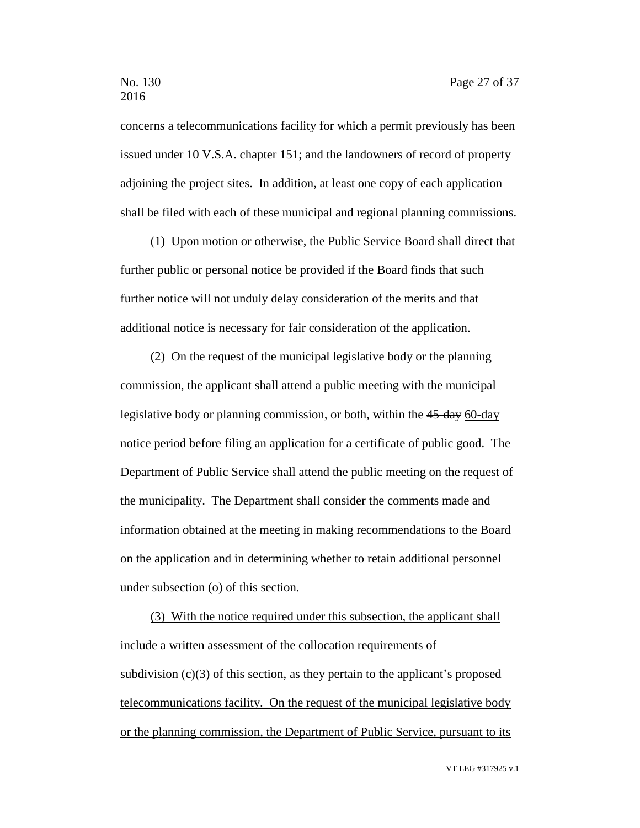concerns a telecommunications facility for which a permit previously has been issued under 10 V.S.A. chapter 151; and the landowners of record of property adjoining the project sites. In addition, at least one copy of each application shall be filed with each of these municipal and regional planning commissions.

(1) Upon motion or otherwise, the Public Service Board shall direct that further public or personal notice be provided if the Board finds that such further notice will not unduly delay consideration of the merits and that additional notice is necessary for fair consideration of the application.

(2) On the request of the municipal legislative body or the planning commission, the applicant shall attend a public meeting with the municipal legislative body or planning commission, or both, within the 45-day 60-day notice period before filing an application for a certificate of public good. The Department of Public Service shall attend the public meeting on the request of the municipality. The Department shall consider the comments made and information obtained at the meeting in making recommendations to the Board on the application and in determining whether to retain additional personnel under subsection (o) of this section.

(3) With the notice required under this subsection, the applicant shall include a written assessment of the collocation requirements of subdivision  $(c)(3)$  of this section, as they pertain to the applicant's proposed telecommunications facility. On the request of the municipal legislative body or the planning commission, the Department of Public Service, pursuant to its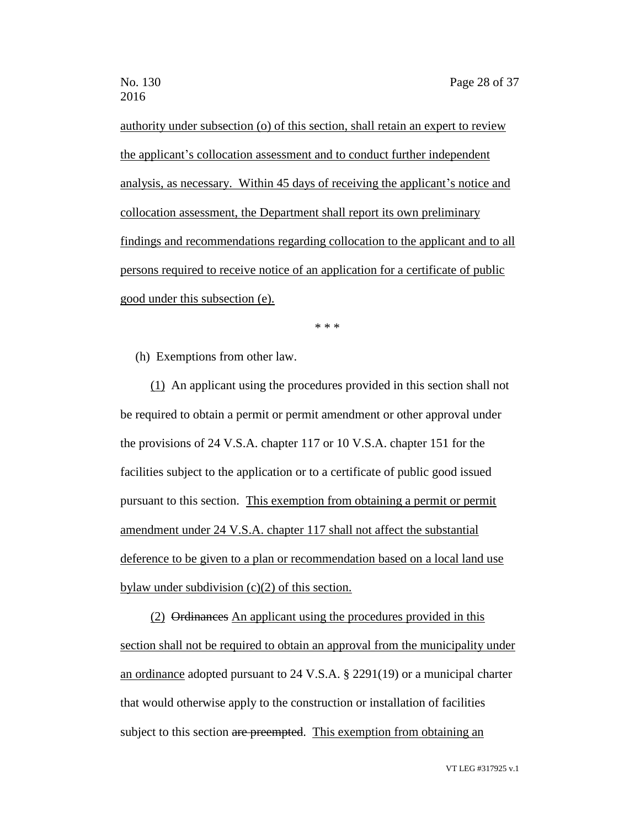authority under subsection (o) of this section, shall retain an expert to review the applicant's collocation assessment and to conduct further independent analysis, as necessary. Within 45 days of receiving the applicant's notice and collocation assessment, the Department shall report its own preliminary findings and recommendations regarding collocation to the applicant and to all persons required to receive notice of an application for a certificate of public good under this subsection (e).

\* \* \*

(h) Exemptions from other law.

(1) An applicant using the procedures provided in this section shall not be required to obtain a permit or permit amendment or other approval under the provisions of 24 V.S.A. chapter 117 or 10 V.S.A. chapter 151 for the facilities subject to the application or to a certificate of public good issued pursuant to this section. This exemption from obtaining a permit or permit amendment under 24 V.S.A. chapter 117 shall not affect the substantial deference to be given to a plan or recommendation based on a local land use bylaw under subdivision (c)(2) of this section.

(2) Ordinances An applicant using the procedures provided in this section shall not be required to obtain an approval from the municipality under an ordinance adopted pursuant to 24 V.S.A. § 2291(19) or a municipal charter that would otherwise apply to the construction or installation of facilities subject to this section are preempted. This exemption from obtaining an

VT LEG #317925 v.1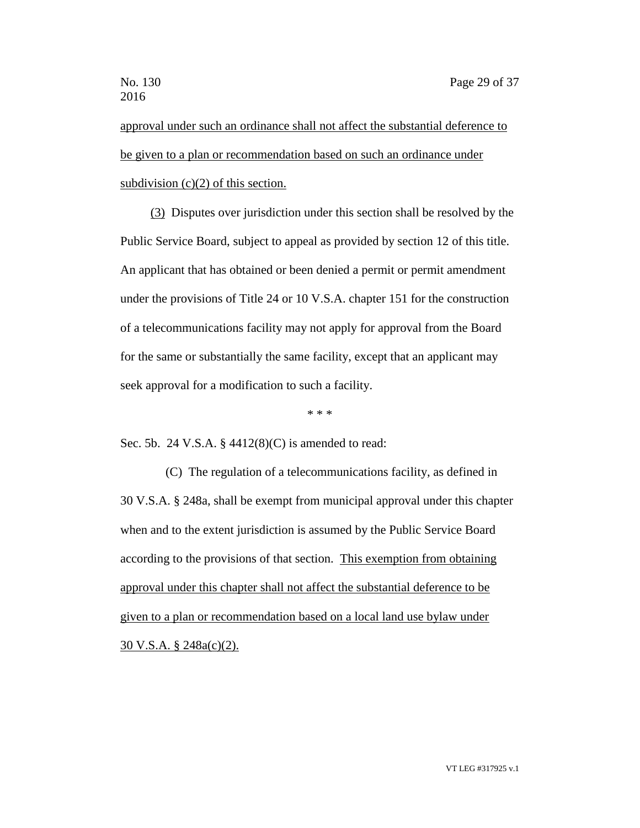approval under such an ordinance shall not affect the substantial deference to be given to a plan or recommendation based on such an ordinance under subdivision  $(c)(2)$  of this section.

(3) Disputes over jurisdiction under this section shall be resolved by the Public Service Board, subject to appeal as provided by section 12 of this title. An applicant that has obtained or been denied a permit or permit amendment under the provisions of Title 24 or 10 V.S.A. chapter 151 for the construction of a telecommunications facility may not apply for approval from the Board for the same or substantially the same facility, except that an applicant may seek approval for a modification to such a facility.

\* \* \*

Sec. 5b. 24 V.S.A. § 4412(8)(C) is amended to read:

(C) The regulation of a telecommunications facility, as defined in 30 V.S.A. § 248a, shall be exempt from municipal approval under this chapter when and to the extent jurisdiction is assumed by the Public Service Board according to the provisions of that section. This exemption from obtaining approval under this chapter shall not affect the substantial deference to be given to a plan or recommendation based on a local land use bylaw under 30 V.S.A. § 248a(c)(2).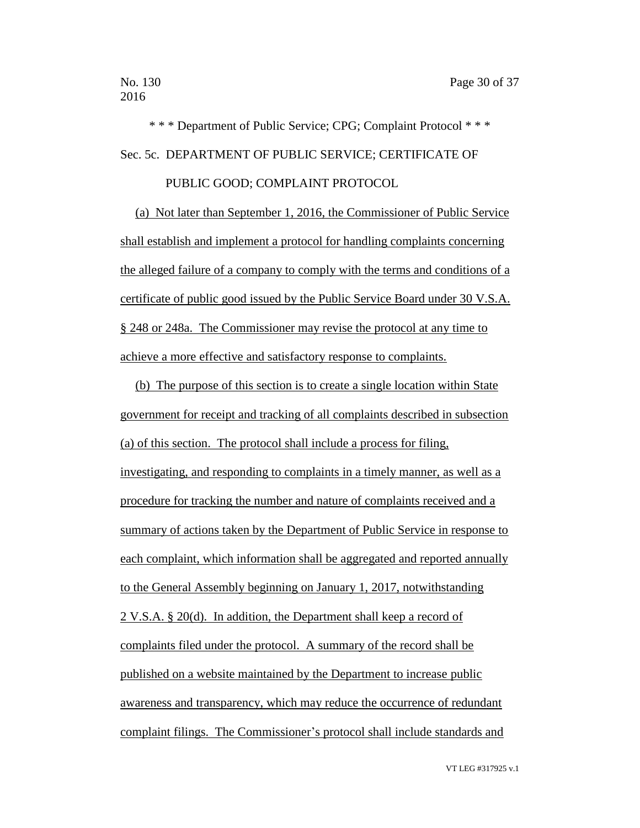\* \* \* Department of Public Service; CPG; Complaint Protocol \* \* \* Sec. 5c. DEPARTMENT OF PUBLIC SERVICE; CERTIFICATE OF

# PUBLIC GOOD; COMPLAINT PROTOCOL

(a) Not later than September 1, 2016, the Commissioner of Public Service shall establish and implement a protocol for handling complaints concerning the alleged failure of a company to comply with the terms and conditions of a certificate of public good issued by the Public Service Board under 30 V.S.A. § 248 or 248a. The Commissioner may revise the protocol at any time to achieve a more effective and satisfactory response to complaints.

(b) The purpose of this section is to create a single location within State government for receipt and tracking of all complaints described in subsection (a) of this section. The protocol shall include a process for filing, investigating, and responding to complaints in a timely manner, as well as a procedure for tracking the number and nature of complaints received and a summary of actions taken by the Department of Public Service in response to each complaint, which information shall be aggregated and reported annually to the General Assembly beginning on January 1, 2017, notwithstanding 2 V.S.A. § 20(d). In addition, the Department shall keep a record of complaints filed under the protocol. A summary of the record shall be published on a website maintained by the Department to increase public awareness and transparency, which may reduce the occurrence of redundant complaint filings. The Commissioner's protocol shall include standards and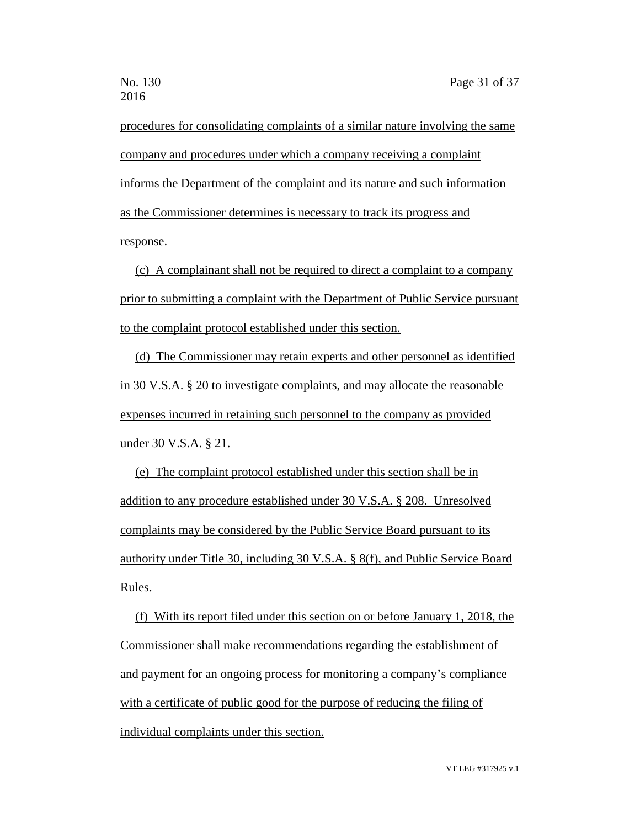procedures for consolidating complaints of a similar nature involving the same company and procedures under which a company receiving a complaint informs the Department of the complaint and its nature and such information as the Commissioner determines is necessary to track its progress and response.

(c) A complainant shall not be required to direct a complaint to a company prior to submitting a complaint with the Department of Public Service pursuant to the complaint protocol established under this section.

(d) The Commissioner may retain experts and other personnel as identified in 30 V.S.A. § 20 to investigate complaints, and may allocate the reasonable expenses incurred in retaining such personnel to the company as provided under 30 V.S.A. § 21.

(e) The complaint protocol established under this section shall be in addition to any procedure established under 30 V.S.A. § 208. Unresolved complaints may be considered by the Public Service Board pursuant to its authority under Title 30, including 30 V.S.A. § 8(f), and Public Service Board Rules.

(f) With its report filed under this section on or before January 1, 2018, the Commissioner shall make recommendations regarding the establishment of and payment for an ongoing process for monitoring a company's compliance with a certificate of public good for the purpose of reducing the filing of individual complaints under this section.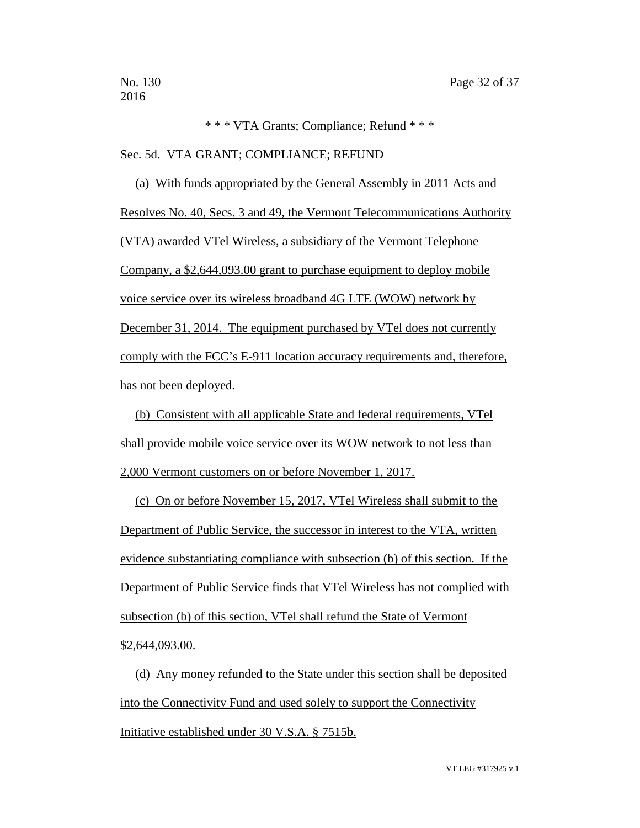```
* * * VTA Grants; Compliance; Refund * * *
```
Sec. 5d. VTA GRANT; COMPLIANCE; REFUND

(a) With funds appropriated by the General Assembly in 2011 Acts and Resolves No. 40, Secs. 3 and 49, the Vermont Telecommunications Authority (VTA) awarded VTel Wireless, a subsidiary of the Vermont Telephone Company, a \$2,644,093.00 grant to purchase equipment to deploy mobile voice service over its wireless broadband 4G LTE (WOW) network by December 31, 2014. The equipment purchased by VTel does not currently comply with the FCC's E-911 location accuracy requirements and, therefore, has not been deployed.

(b) Consistent with all applicable State and federal requirements, VTel shall provide mobile voice service over its WOW network to not less than 2,000 Vermont customers on or before November 1, 2017.

(c) On or before November 15, 2017, VTel Wireless shall submit to the Department of Public Service, the successor in interest to the VTA, written evidence substantiating compliance with subsection (b) of this section. If the Department of Public Service finds that VTel Wireless has not complied with subsection (b) of this section, VTel shall refund the State of Vermont \$2,644,093.00.

(d) Any money refunded to the State under this section shall be deposited into the Connectivity Fund and used solely to support the Connectivity Initiative established under 30 V.S.A. § 7515b.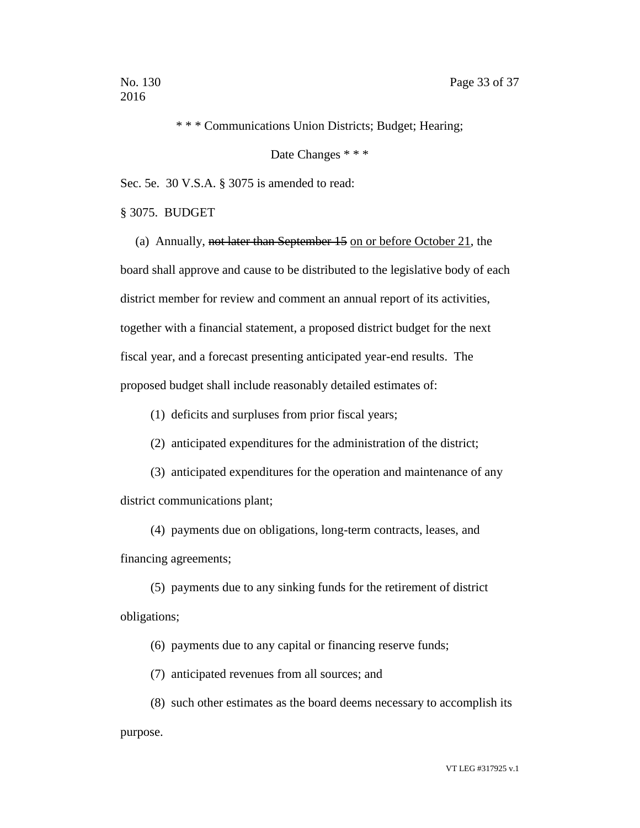\* \* \* Communications Union Districts; Budget; Hearing;

Date Changes \* \* \*

Sec. 5e. 30 V.S.A. § 3075 is amended to read:

§ 3075. BUDGET

(a) Annually, not later than September 15 on or before October 21, the board shall approve and cause to be distributed to the legislative body of each district member for review and comment an annual report of its activities, together with a financial statement, a proposed district budget for the next fiscal year, and a forecast presenting anticipated year-end results. The proposed budget shall include reasonably detailed estimates of:

(1) deficits and surpluses from prior fiscal years;

(2) anticipated expenditures for the administration of the district;

(3) anticipated expenditures for the operation and maintenance of any district communications plant;

(4) payments due on obligations, long-term contracts, leases, and financing agreements;

(5) payments due to any sinking funds for the retirement of district obligations;

(6) payments due to any capital or financing reserve funds;

(7) anticipated revenues from all sources; and

(8) such other estimates as the board deems necessary to accomplish its purpose.

VT LEG #317925 v.1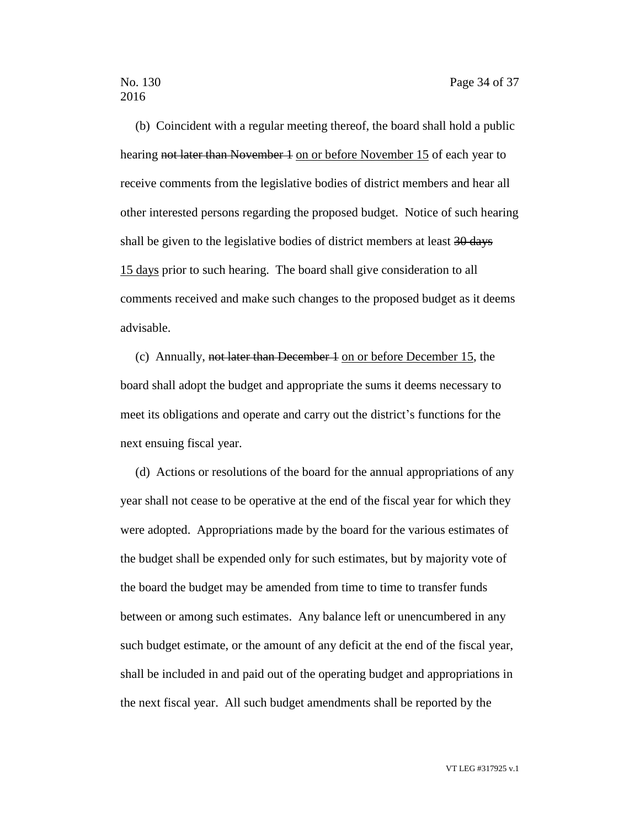(b) Coincident with a regular meeting thereof, the board shall hold a public hearing not later than November 1 on or before November 15 of each year to receive comments from the legislative bodies of district members and hear all other interested persons regarding the proposed budget. Notice of such hearing shall be given to the legislative bodies of district members at least 30 days 15 days prior to such hearing. The board shall give consideration to all comments received and make such changes to the proposed budget as it deems advisable.

(c) Annually, not later than December 1 on or before December 15, the board shall adopt the budget and appropriate the sums it deems necessary to meet its obligations and operate and carry out the district's functions for the next ensuing fiscal year.

(d) Actions or resolutions of the board for the annual appropriations of any year shall not cease to be operative at the end of the fiscal year for which they were adopted. Appropriations made by the board for the various estimates of the budget shall be expended only for such estimates, but by majority vote of the board the budget may be amended from time to time to transfer funds between or among such estimates. Any balance left or unencumbered in any such budget estimate, or the amount of any deficit at the end of the fiscal year, shall be included in and paid out of the operating budget and appropriations in the next fiscal year. All such budget amendments shall be reported by the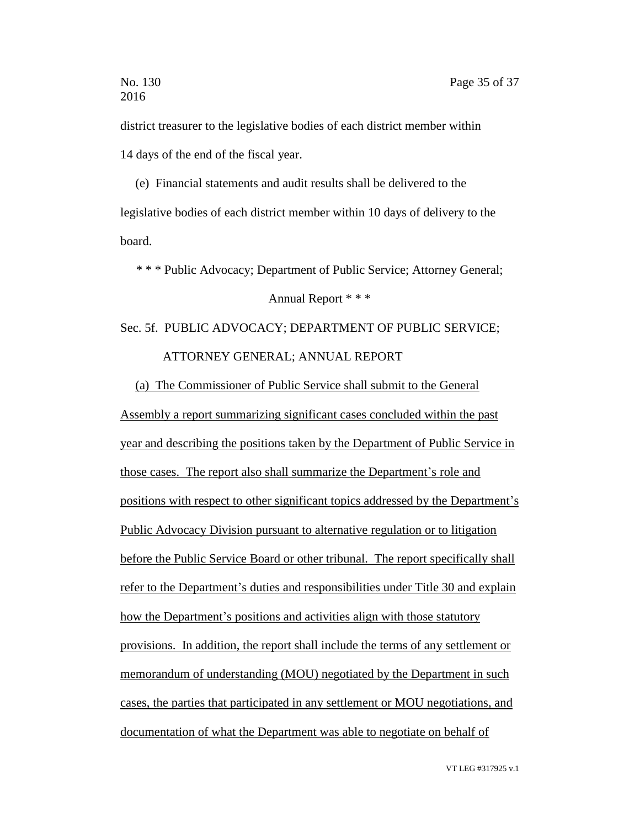district treasurer to the legislative bodies of each district member within 14 days of the end of the fiscal year.

(e) Financial statements and audit results shall be delivered to the legislative bodies of each district member within 10 days of delivery to the board.

\* \* \* Public Advocacy; Department of Public Service; Attorney General;

#### Annual Report \* \* \*

# Sec. 5f. PUBLIC ADVOCACY; DEPARTMENT OF PUBLIC SERVICE; ATTORNEY GENERAL; ANNUAL REPORT

(a) The Commissioner of Public Service shall submit to the General Assembly a report summarizing significant cases concluded within the past year and describing the positions taken by the Department of Public Service in those cases. The report also shall summarize the Department's role and positions with respect to other significant topics addressed by the Department's Public Advocacy Division pursuant to alternative regulation or to litigation before the Public Service Board or other tribunal. The report specifically shall refer to the Department's duties and responsibilities under Title 30 and explain how the Department's positions and activities align with those statutory provisions. In addition, the report shall include the terms of any settlement or memorandum of understanding (MOU) negotiated by the Department in such cases, the parties that participated in any settlement or MOU negotiations, and documentation of what the Department was able to negotiate on behalf of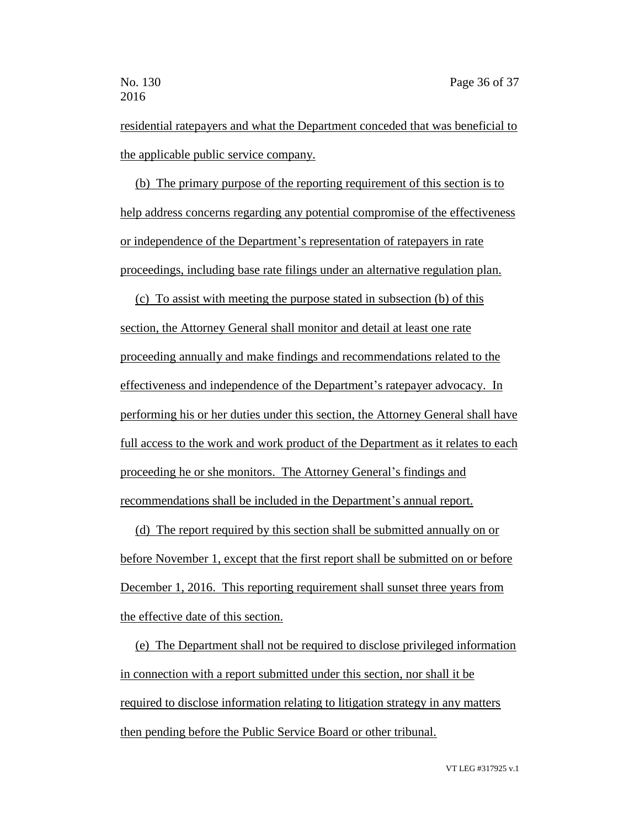residential ratepayers and what the Department conceded that was beneficial to the applicable public service company.

(b) The primary purpose of the reporting requirement of this section is to help address concerns regarding any potential compromise of the effectiveness or independence of the Department's representation of ratepayers in rate proceedings, including base rate filings under an alternative regulation plan.

(c) To assist with meeting the purpose stated in subsection (b) of this section, the Attorney General shall monitor and detail at least one rate proceeding annually and make findings and recommendations related to the effectiveness and independence of the Department's ratepayer advocacy. In performing his or her duties under this section, the Attorney General shall have full access to the work and work product of the Department as it relates to each proceeding he or she monitors. The Attorney General's findings and recommendations shall be included in the Department's annual report.

(d) The report required by this section shall be submitted annually on or before November 1, except that the first report shall be submitted on or before December 1, 2016. This reporting requirement shall sunset three years from the effective date of this section.

(e) The Department shall not be required to disclose privileged information in connection with a report submitted under this section, nor shall it be required to disclose information relating to litigation strategy in any matters then pending before the Public Service Board or other tribunal.